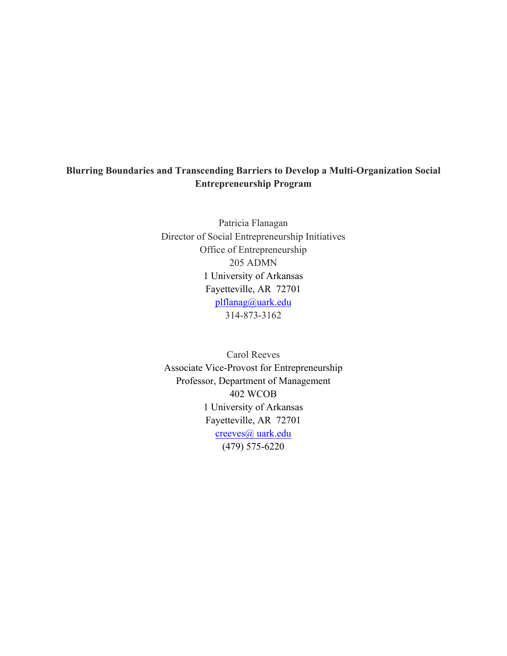## **Blurring Boundaries and Transcending Barriers to Develop a Multi-Organization Social Entrepreneurship Program**

Patricia Flanagan Director of Social Entrepreneurship Initiatives Office of Entrepreneurship 205 ADMN 1 University of Arkansas Fayetteville, AR 72701 plflanag@uark.edu 314-873-3162

Carol Reeves Associate Vice-Provost for Entrepreneurship Professor, Department of Management 402 WCOB 1 University of Arkansas Fayetteville, AR 72701 creeves@ uark.edu (479) 575-6220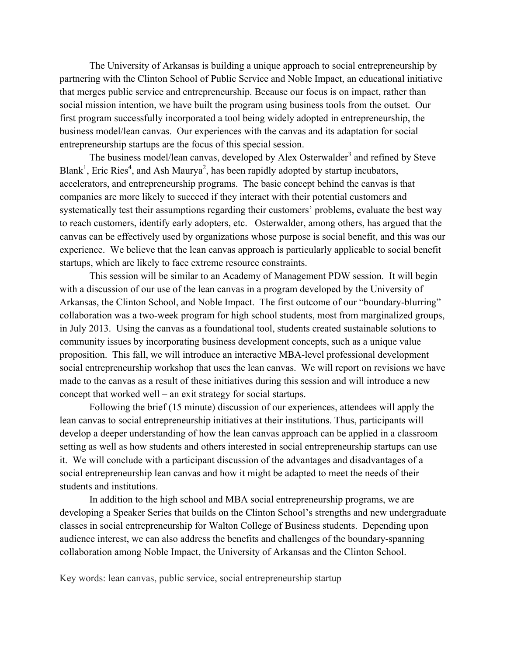The University of Arkansas is building a unique approach to social entrepreneurship by partnering with the Clinton School of Public Service and Noble Impact, an educational initiative that merges public service and entrepreneurship. Because our focus is on impact, rather than social mission intention, we have built the program using business tools from the outset. Our first program successfully incorporated a tool being widely adopted in entrepreneurship, the business model/lean canvas. Our experiences with the canvas and its adaptation for social entrepreneurship startups are the focus of this special session.

The business model/lean canvas, developed by Alex Osterwalder<sup>3</sup> and refined by Steve Blank<sup>1</sup>, Eric Ries<sup>4</sup>, and Ash Maurya<sup>2</sup>, has been rapidly adopted by startup incubators, accelerators, and entrepreneurship programs. The basic concept behind the canvas is that companies are more likely to succeed if they interact with their potential customers and systematically test their assumptions regarding their customers' problems, evaluate the best way to reach customers, identify early adopters, etc. Osterwalder, among others, has argued that the canvas can be effectively used by organizations whose purpose is social benefit, and this was our experience. We believe that the lean canvas approach is particularly applicable to social benefit startups, which are likely to face extreme resource constraints.

This session will be similar to an Academy of Management PDW session. It will begin with a discussion of our use of the lean canvas in a program developed by the University of Arkansas, the Clinton School, and Noble Impact. The first outcome of our "boundary-blurring" collaboration was a two-week program for high school students, most from marginalized groups, in July 2013. Using the canvas as a foundational tool, students created sustainable solutions to community issues by incorporating business development concepts, such as a unique value proposition. This fall, we will introduce an interactive MBA-level professional development social entrepreneurship workshop that uses the lean canvas. We will report on revisions we have made to the canvas as a result of these initiatives during this session and will introduce a new concept that worked well – an exit strategy for social startups.

Following the brief (15 minute) discussion of our experiences, attendees will apply the lean canvas to social entrepreneurship initiatives at their institutions. Thus, participants will develop a deeper understanding of how the lean canvas approach can be applied in a classroom setting as well as how students and others interested in social entrepreneurship startups can use it. We will conclude with a participant discussion of the advantages and disadvantages of a social entrepreneurship lean canvas and how it might be adapted to meet the needs of their students and institutions.

In addition to the high school and MBA social entrepreneurship programs, we are developing a Speaker Series that builds on the Clinton School's strengths and new undergraduate classes in social entrepreneurship for Walton College of Business students. Depending upon audience interest, we can also address the benefits and challenges of the boundary-spanning collaboration among Noble Impact, the University of Arkansas and the Clinton School.

Key words: lean canvas, public service, social entrepreneurship startup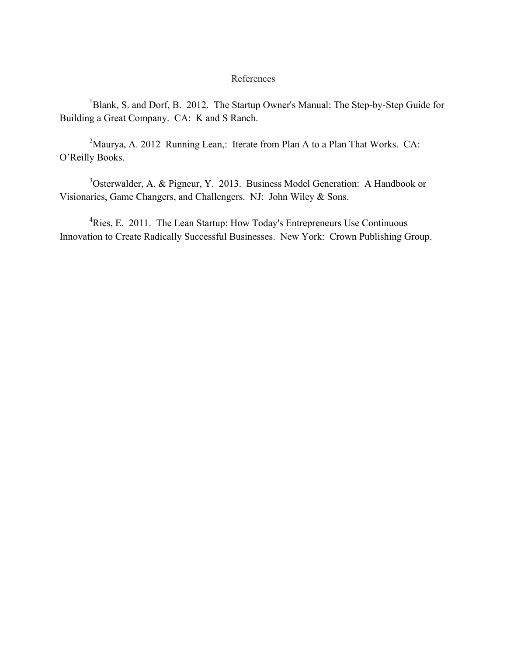## References

<sup>1</sup>Blank, S. and Dorf, B. 2012. The Startup Owner's Manual: The Step-by-Step Guide for Building a Great Company. CA: K and S Ranch.

<sup>2</sup>Maurya, A. 2012 Running Lean,: Iterate from Plan A to a Plan That Works. CA: O'Reilly Books.

<sup>3</sup>Osterwalder, A. & Pigneur, Y. 2013. Business Model Generation: A Handbook or Visionaries, Game Changers, and Challengers. NJ: John Wiley & Sons.

<sup>4</sup>Ries, E. 2011. The Lean Startup: How Today's Entrepreneurs Use Continuous Innovation to Create Radically Successful Businesses. New York: Crown Publishing Group.